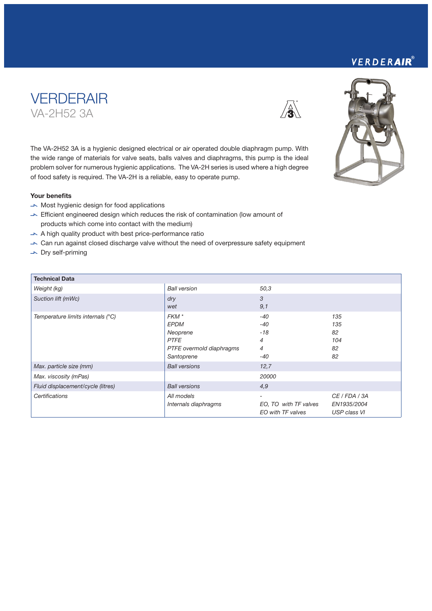### VERDERAIR®





The VA-2H52 3A is a hygienic designed electrical or air operated double diaphragm pump. With the wide range of materials for valve seats, balls valves and diaphragms, this pump is the ideal problem solver for numerous hygienic applications. The VA-2H series is used where a high degree of food safety is required. The VA-2H is a reliable, easy to operate pump.

#### Your benefits

- $\rightarrow$  Most hygienic design for food applications
- $\blacktriangleright$  Efficient engineered design which reduces the risk of contamination (low amount of products which come into contact with the medium)
- $\blacktriangleright$  A high quality product with best price-performance ratio
- V Can run against closed discharge valve without the need of overpressure safety equipment
- $\overline{\phantom{a}}$  Dry self-priming

| <b>Technical Data</b>             |                          |                       |               |
|-----------------------------------|--------------------------|-----------------------|---------------|
| Weight (kg)                       | <b>Ball version</b>      | 50,3                  |               |
| Suction lift (mWc)                | dry                      | 3                     |               |
|                                   | wet                      | 9,1                   |               |
| Temperature limits internals (°C) | FKM <sup>*</sup>         | $-40$                 | 135           |
|                                   | <b>EPDM</b>              | $-40$                 | 135           |
|                                   | Neoprene                 | $-18$                 | 82            |
|                                   | <b>PTFE</b>              | $\overline{4}$        | 104           |
|                                   | PTFE overmold diaphragms | $\overline{4}$        | 82            |
|                                   | Santoprene               | -40                   | 82            |
| Max. particle size (mm)           | <b>Ball versions</b>     | 12,7                  |               |
| Max. viscosity (mPas)             |                          | 20000                 |               |
| Fluid displacement/cycle (litres) | <b>Ball versions</b>     | 4,9                   |               |
| Certifications                    | All models               | -                     | CE / FDA / 3A |
|                                   | Internals diaphragms     | EO, TO with TF valves | EN1935/2004   |
|                                   |                          | EO with TF valves     | USP class VI  |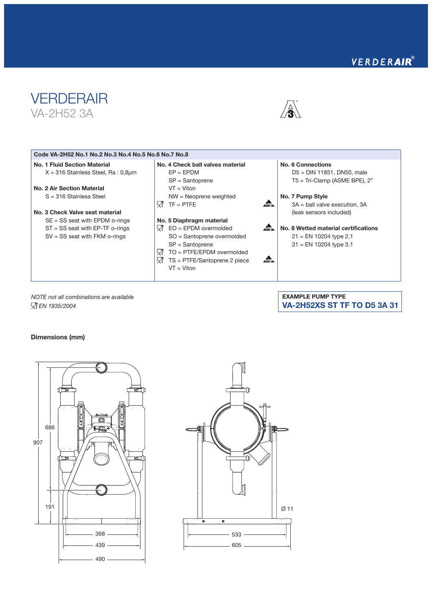## VERDERAIR®





EXAMPLE PUMP TYPE

VA-2H52XS ST TF TO D5 3A 31

| Code VA-2H52 No.1 No.2 No.3 No.4 No.5 No.6 No.7 No.8 |                                         |             |                                      |
|------------------------------------------------------|-----------------------------------------|-------------|--------------------------------------|
| No. 1 Fluid Section Material                         | No. 4 Check ball valves material        |             | No. 6 Connections                    |
| $X = 316$ Stainless Steel, Ra : 0,8 $\mu$ m          | $FP = FPDM$                             |             | $D5 = DIN 11851$ , DN50, male        |
|                                                      | $SP =$ Santoprene                       |             | $T5 = Tri-Clamp$ (ASME BPE), 2"      |
| No. 2 Air Section Material                           | $VT = Viton$                            |             |                                      |
| $S = 316$ Stainless Steel                            | $NW = Neoprene weighted$                |             | No. 7 Pump Style                     |
|                                                      | $TF = PTFE$<br>Y. 1                     | ABL.        | $3A =$ ball valve execution, $3A$    |
| No. 3 Check Valve seat material                      |                                         |             | (leak sensors included)              |
| $SE = SS$ seat with EPDM o-rings                     | No. 5 Diaphragm material                |             |                                      |
| $ST = SS$ seat with EP-TF o-rings                    | 527<br>$EO = EPDM$ overmolded           | $\sqrt{15}$ | No. 8 Wetted material certifications |
| $SV = SS$ seat with FKM o-rings                      | SO = Santoprene overmolded              |             | $21 = EN 10204$ type 2.1             |
|                                                      | $SP =$ Santoprene                       |             | $31$ = EN 10204 type 3.1             |
|                                                      | - 52T<br>$TO = PTFE/EPDM$ overmolded    |             |                                      |
|                                                      | - 52T<br>$TS = PTFE/Santoprene 2 piece$ | ⊿⊡⊾         |                                      |
|                                                      | $VT = Viton$                            |             |                                      |
|                                                      |                                         |             |                                      |

*NOTE not all combinations are available EN 1935/2004*

Dimensions (mm)